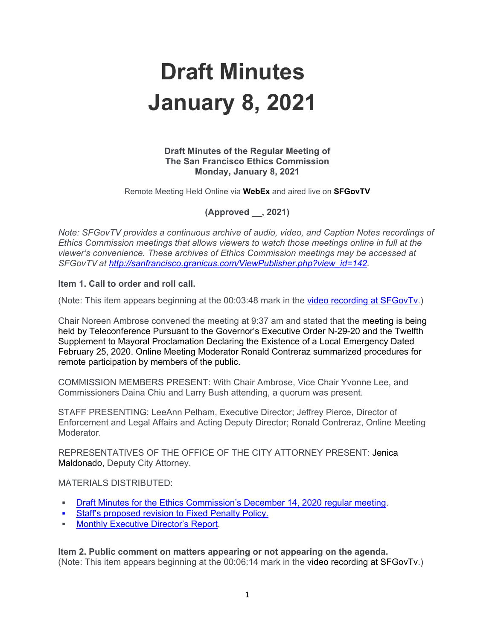# **Draft Minutes January 8, 2021**

### **Draft Minutes of the Regular Meeting of The San Francisco Ethics Commission Monday, January 8, 2021**

Remote Meeting Held Online via **WebEx** and aired live on **SFGovTV**

**(Approved \_\_, 2021)**

*Note: SFGovTV provides a continuous archive of audio, video, and Caption Notes recordings of Ethics Commission meetings that allows viewers to watch those meetings online in full at the viewer's convenience. These archives of Ethics Commission meetings may be accessed at SFGovTV at [http://sanfrancisco.granicus.com/ViewPublisher.php?view\\_id=142.](http://sanfrancisco.granicus.com/ViewPublisher.php?view_id=142)* 

## **Item 1. Call to order and roll call.**

(Note: This item appears beginning at the 00:03:48 mark in the [video recording at SFGovTv.](https://sanfrancisco.granicus.com/MediaPlayer.php?view_id=142&clip_id=37453))

Chair Noreen Ambrose convened the meeting at 9:37 am and stated that the meeting is being held by Teleconference Pursuant to the Governor's Executive Order N-29-20 and the Twelfth Supplement to Mayoral Proclamation Declaring the Existence of a Local Emergency Dated February 25, 2020. Online Meeting Moderator Ronald Contreraz summarized procedures for remote participation by members of the public.

COMMISSION MEMBERS PRESENT: With Chair Ambrose, Vice Chair Yvonne Lee, and Commissioners Daina Chiu and Larry Bush attending, a quorum was present.

STAFF PRESENTING: LeeAnn Pelham, Executive Director; Jeffrey Pierce, Director of Enforcement and Legal Affairs and Acting Deputy Director; Ronald Contreraz, Online Meeting Moderator.

REPRESENTATIVES OF THE OFFICE OF THE CITY ATTORNEY PRESENT: Jenica Maldonado, Deputy City Attorney.

#### MATERIALS DISTRIBUTED:

- [Draft Minutes for the Ethics Commission's December 14, 2020 regular meeting.](https://sfethics.org/ethics/2021/01/minutes-december-14-2020.html)
- **[Staff's proposed revision to Fixed Penalty Policy](https://sfethics.org/wp-content/uploads/2021/01/2021.01.08-Agenda-Item-4-Fixed-Penalty-Update-FINAL.pdf).**
- **[Monthly Executive Director's Report.](https://sfethics.org/ethics/2021/01/executive-directors-report-january-4-2021.html)**

**Item 2. Public comment on matters appearing or not appearing on the agenda.** (Note: This item appears beginning at the 00:06:14 mark in the video recording at SFGovTv.)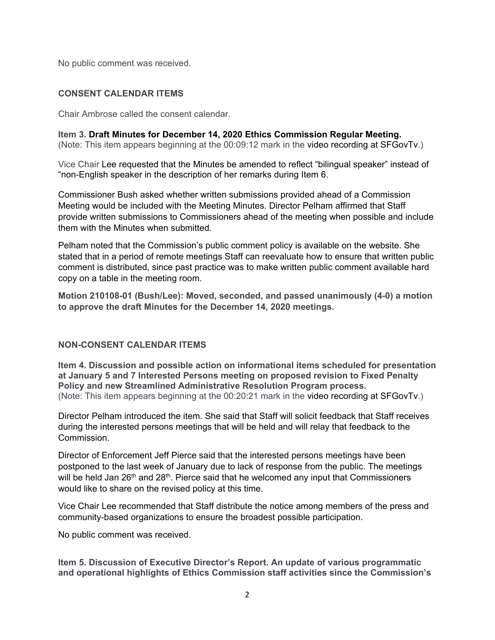No public comment was received.

# **CONSENT CALENDAR ITEMS**

Chair Ambrose called the consent calendar.

**Item 3. Draft Minutes for December 14, 2020 Ethics Commission Regular Meeting.** (Note: This item appears beginning at the 00:09:12 mark in the video recording at SFGovTv.)

Vice Chair Lee requested that the Minutes be amended to reflect "bilingual speaker" instead of "non-English speaker in the description of her remarks during Item 6.

Commissioner Bush asked whether written submissions provided ahead of a Commission Meeting would be included with the Meeting Minutes. Director Pelham affirmed that Staff provide written submissions to Commissioners ahead of the meeting when possible and include them with the Minutes when submitted.

Pelham noted that the Commission's public comment policy is available on the website. She stated that in a period of remote meetings Staff can reevaluate how to ensure that written public comment is distributed, since past practice was to make written public comment available hard copy on a table in the meeting room.

**Motion 210108-01 (Bush/Lee): Moved, seconded, and passed unanimously (4-0) a motion to approve the draft Minutes for the December 14, 2020 meetings.**

## **NON-CONSENT CALENDAR ITEMS**

**Item 4. Discussion and possible action on informational items scheduled for presentation at January 5 and 7 Interested Persons meeting on proposed revision to Fixed Penalty Policy and new Streamlined Administrative Resolution Program process***.* (Note: This item appears beginning at the 00:20:21 mark in the video recording at SFGovTv.)

Director Pelham introduced the item. She said that Staff will solicit feedback that Staff receives during the interested persons meetings that will be held and will relay that feedback to the Commission.

Director of Enforcement Jeff Pierce said that the interested persons meetings have been postponed to the last week of January due to lack of response from the public. The meetings will be held Jan 26<sup>th</sup> and 28<sup>th</sup>. Pierce said that he welcomed any input that Commissioners would like to share on the revised policy at this time.

Vice Chair Lee recommended that Staff distribute the notice among members of the press and community-based organizations to ensure the broadest possible participation.

No public comment was received.

**Item 5. Discussion of Executive Director's Report. An update of various programmatic and operational highlights of Ethics Commission staff activities since the Commission's**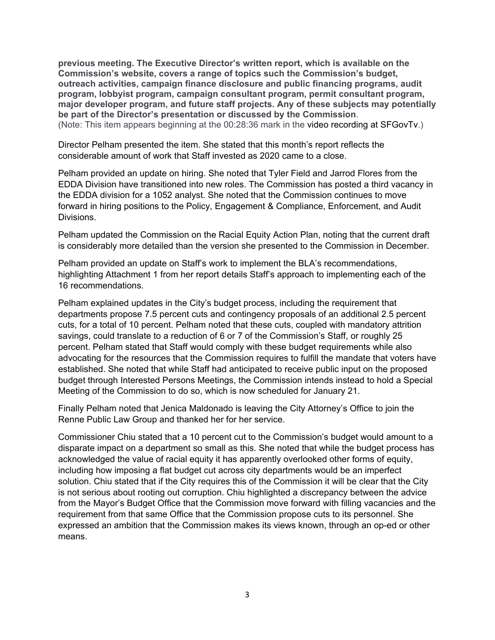**previous meeting. The Executive Director's written report, which is available on the Commission's website, covers a range of topics such the Commission's budget, outreach activities, campaign finance disclosure and public financing programs, audit program, lobbyist program, campaign consultant program, permit consultant program, major developer program, and future staff projects. Any of these subjects may potentially be part of the Director's presentation or discussed by the Commission**. (Note: This item appears beginning at the 00:28:36 mark in the video recording at SFGovTv.)

Director Pelham presented the item. She stated that this month's report reflects the considerable amount of work that Staff invested as 2020 came to a close.

Pelham provided an update on hiring. She noted that Tyler Field and Jarrod Flores from the EDDA Division have transitioned into new roles. The Commission has posted a third vacancy in the EDDA division for a 1052 analyst. She noted that the Commission continues to move forward in hiring positions to the Policy, Engagement & Compliance, Enforcement, and Audit Divisions.

Pelham updated the Commission on the Racial Equity Action Plan, noting that the current draft is considerably more detailed than the version she presented to the Commission in December.

Pelham provided an update on Staff's work to implement the BLA's recommendations, highlighting Attachment 1 from her report details Staff's approach to implementing each of the 16 recommendations.

Pelham explained updates in the City's budget process, including the requirement that departments propose 7.5 percent cuts and contingency proposals of an additional 2.5 percent cuts, for a total of 10 percent. Pelham noted that these cuts, coupled with mandatory attrition savings, could translate to a reduction of 6 or 7 of the Commission's Staff, or roughly 25 percent. Pelham stated that Staff would comply with these budget requirements while also advocating for the resources that the Commission requires to fulfill the mandate that voters have established. She noted that while Staff had anticipated to receive public input on the proposed budget through Interested Persons Meetings, the Commission intends instead to hold a Special Meeting of the Commission to do so, which is now scheduled for January 21.

Finally Pelham noted that Jenica Maldonado is leaving the City Attorney's Office to join the Renne Public Law Group and thanked her for her service.

Commissioner Chiu stated that a 10 percent cut to the Commission's budget would amount to a disparate impact on a department so small as this. She noted that while the budget process has acknowledged the value of racial equity it has apparently overlooked other forms of equity, including how imposing a flat budget cut across city departments would be an imperfect solution. Chiu stated that if the City requires this of the Commission it will be clear that the City is not serious about rooting out corruption. Chiu highlighted a discrepancy between the advice from the Mayor's Budget Office that the Commission move forward with filling vacancies and the requirement from that same Office that the Commission propose cuts to its personnel. She expressed an ambition that the Commission makes its views known, through an op-ed or other means.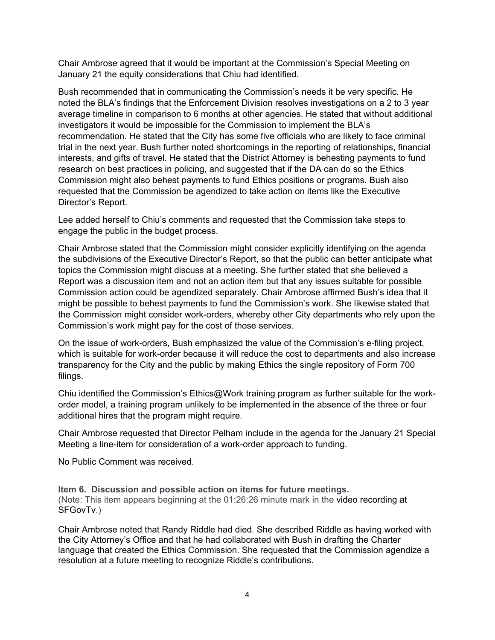Chair Ambrose agreed that it would be important at the Commission's Special Meeting on January 21 the equity considerations that Chiu had identified.

Bush recommended that in communicating the Commission's needs it be very specific. He noted the BLA's findings that the Enforcement Division resolves investigations on a 2 to 3 year average timeline in comparison to 6 months at other agencies. He stated that without additional investigators it would be impossible for the Commission to implement the BLA's recommendation. He stated that the City has some five officials who are likely to face criminal trial in the next year. Bush further noted shortcomings in the reporting of relationships, financial interests, and gifts of travel. He stated that the District Attorney is behesting payments to fund research on best practices in policing, and suggested that if the DA can do so the Ethics Commission might also behest payments to fund Ethics positions or programs. Bush also requested that the Commission be agendized to take action on items like the Executive Director's Report.

Lee added herself to Chiu's comments and requested that the Commission take steps to engage the public in the budget process.

Chair Ambrose stated that the Commission might consider explicitly identifying on the agenda the subdivisions of the Executive Director's Report, so that the public can better anticipate what topics the Commission might discuss at a meeting. She further stated that she believed a Report was a discussion item and not an action item but that any issues suitable for possible Commission action could be agendized separately. Chair Ambrose affirmed Bush's idea that it might be possible to behest payments to fund the Commission's work. She likewise stated that the Commission might consider work-orders, whereby other City departments who rely upon the Commission's work might pay for the cost of those services.

On the issue of work-orders, Bush emphasized the value of the Commission's e-filing project, which is suitable for work-order because it will reduce the cost to departments and also increase transparency for the City and the public by making Ethics the single repository of Form 700 filings.

Chiu identified the Commission's Ethics@Work training program as further suitable for the workorder model, a training program unlikely to be implemented in the absence of the three or four additional hires that the program might require.

Chair Ambrose requested that Director Pelham include in the agenda for the January 21 Special Meeting a line-item for consideration of a work-order approach to funding.

No Public Comment was received.

**Item 6. Discussion and possible action on items for future meetings.** (Note: This item appears beginning at the 01:26:26 minute mark in the video recording at SFGovTv.)

Chair Ambrose noted that Randy Riddle had died. She described Riddle as having worked with the City Attorney's Office and that he had collaborated with Bush in drafting the Charter language that created the Ethics Commission. She requested that the Commission agendize a resolution at a future meeting to recognize Riddle's contributions.